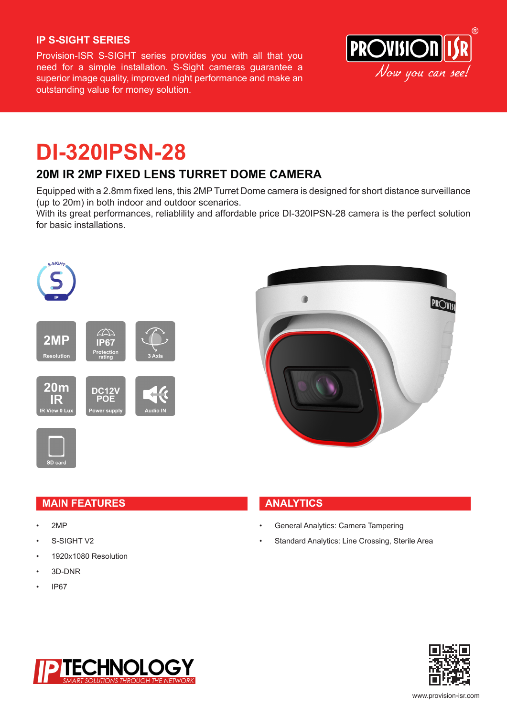#### **IP S-SIGHT SERIES**

Provision-ISR S-SIGHT series provides you with all that you need for a simple installation. S-Sight cameras guarantee a superior image quality, improved night performance and make an outstanding value for money solution.



### **DI-320IPSN-28**

### **20M IR 2MP FIXED LENS TURRET DOME CAMERA**

Equipped with a 2.8mm fixed lens, this 2MP Turret Dome camera is designed for short distance surveillance (up to 20m) in both indoor and outdoor scenarios.

With its great performances, reliablility and affordable price DI-320IPSN-28 camera is the perfect solution for basic installations.





#### **MAIN FEATURES ANALYTICS**

- 2MP
- S-SIGHT V2
- 1920x1080 Resolution
- 3D-DNR
- IP67

- General Analytics: Camera Tampering
- Standard Analytics: Line Crossing, Sterile Area



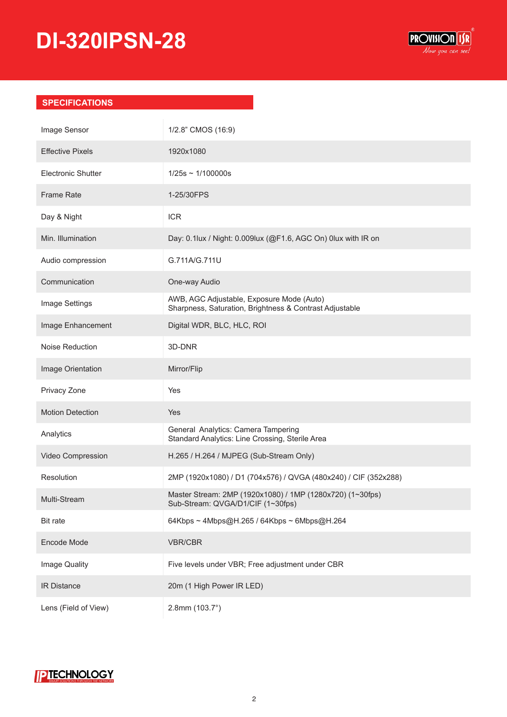# **DI-320IPSN-28**



#### **SPECIFICATIONS**

| Image Sensor              | 1/2.8" CMOS (16:9)                                                                                   |
|---------------------------|------------------------------------------------------------------------------------------------------|
| <b>Effective Pixels</b>   | 1920x1080                                                                                            |
| <b>Electronic Shutter</b> | $1/25s \sim 1/100000s$                                                                               |
| <b>Frame Rate</b>         | 1-25/30FPS                                                                                           |
| Day & Night               | <b>ICR</b>                                                                                           |
| Min. Illumination         | Day: 0.1lux / Night: 0.009lux (@F1.6, AGC On) 0lux with IR on                                        |
| Audio compression         | G.711A/G.711U                                                                                        |
| Communication             | One-way Audio                                                                                        |
| Image Settings            | AWB, AGC Adjustable, Exposure Mode (Auto)<br>Sharpness, Saturation, Brightness & Contrast Adjustable |
| Image Enhancement         | Digital WDR, BLC, HLC, ROI                                                                           |
| Noise Reduction           | 3D-DNR                                                                                               |
| Image Orientation         | Mirror/Flip                                                                                          |
| Privacy Zone              | Yes                                                                                                  |
| <b>Motion Detection</b>   | Yes                                                                                                  |
| Analytics                 | General Analytics: Camera Tampering<br>Standard Analytics: Line Crossing, Sterile Area               |
| Video Compression         | H.265 / H.264 / MJPEG (Sub-Stream Only)                                                              |
| Resolution                | 2MP (1920x1080) / D1 (704x576) / QVGA (480x240) / CIF (352x288)                                      |
| Multi-Stream              | Master Stream: 2MP (1920x1080) / 1MP (1280x720) (1~30fps)<br>Sub-Stream: QVGA/D1/CIF (1~30fps)       |
| <b>Bit rate</b>           | 64Kbps ~ 4Mbps@H.265 / 64Kbps ~ 6Mbps@H.264                                                          |
| Encode Mode               | <b>VBR/CBR</b>                                                                                       |
| Image Quality             | Five levels under VBR; Free adjustment under CBR                                                     |
| <b>IR Distance</b>        | 20m (1 High Power IR LED)                                                                            |
| Lens (Field of View)      | 2.8mm (103.7°)                                                                                       |

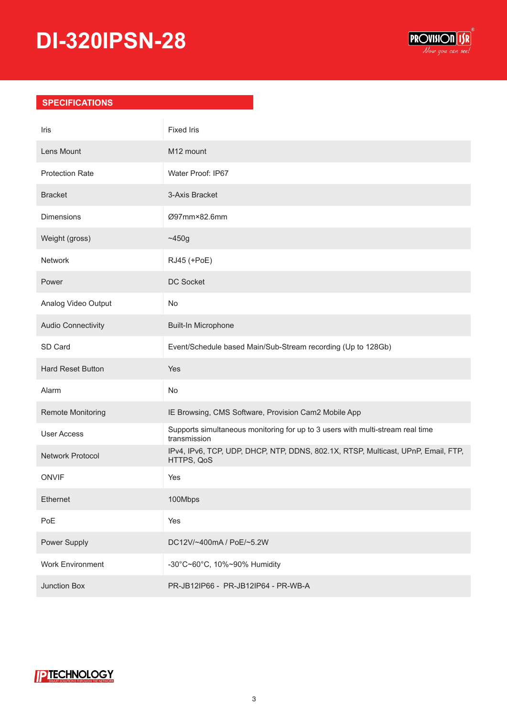# **DI-320IPSN-28**



#### **SPECIFICATIONS**

| Iris                      | <b>Fixed Iris</b>                                                                               |
|---------------------------|-------------------------------------------------------------------------------------------------|
| Lens Mount                | M12 mount                                                                                       |
| <b>Protection Rate</b>    | Water Proof: IP67                                                                               |
| <b>Bracket</b>            | 3-Axis Bracket                                                                                  |
| <b>Dimensions</b>         | Ø97mm×82.6mm                                                                                    |
| Weight (gross)            | ~1450g                                                                                          |
| Network                   | RJ45 (+PoE)                                                                                     |
| Power                     | DC Socket                                                                                       |
| Analog Video Output       | No                                                                                              |
| <b>Audio Connectivity</b> | Built-In Microphone                                                                             |
| SD Card                   | Event/Schedule based Main/Sub-Stream recording (Up to 128Gb)                                    |
| <b>Hard Reset Button</b>  | Yes                                                                                             |
| Alarm                     | No                                                                                              |
| Remote Monitoring         | IE Browsing, CMS Software, Provision Cam2 Mobile App                                            |
| <b>User Access</b>        | Supports simultaneous monitoring for up to 3 users with multi-stream real time<br>transmission  |
| Network Protocol          | IPv4, IPv6, TCP, UDP, DHCP, NTP, DDNS, 802.1X, RTSP, Multicast, UPnP, Email, FTP,<br>HTTPS, QoS |
| <b>ONVIF</b>              | Yes                                                                                             |
| Ethernet                  | 100Mbps                                                                                         |
| PoE                       | Yes                                                                                             |
| Power Supply              | DC12V/~400mA / PoE/~5.2W                                                                        |
| <b>Work Environment</b>   | -30°C~60°C, 10%~90% Humidity                                                                    |
| Junction Box              | PR-JB12IP66 - PR-JB12IP64 - PR-WB-A                                                             |